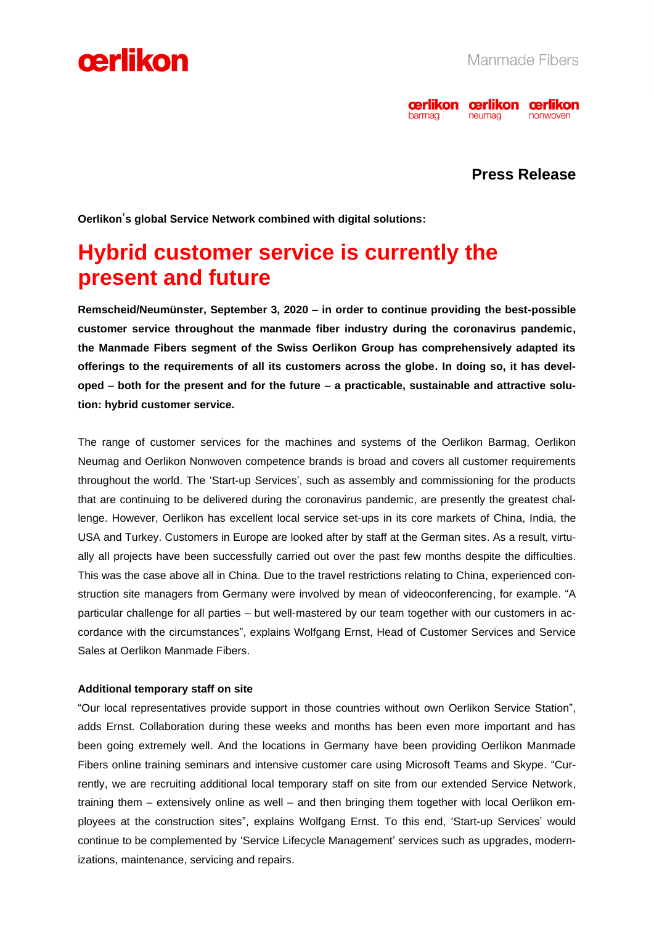



### **Press Release**

**Oerlikon**'**s global Service Network combined with digital solutions:** 

## **Hybrid customer service is currently the present and future**

**Remscheid/Neumünster, September 3, 2020** – **in order to continue providing the best-possible customer service throughout the manmade fiber industry during the coronavirus pandemic, the Manmade Fibers segment of the Swiss Oerlikon Group has comprehensively adapted its offerings to the requirements of all its customers across the globe. In doing so, it has developed** – **both for the present and for the future** – **a practicable, sustainable and attractive solution: hybrid customer service.** 

The range of customer services for the machines and systems of the Oerlikon Barmag, Oerlikon Neumag and Oerlikon Nonwoven competence brands is broad and covers all customer requirements throughout the world. The 'Start-up Services', such as assembly and commissioning for the products that are continuing to be delivered during the coronavirus pandemic, are presently the greatest challenge. However, Oerlikon has excellent local service set-ups in its core markets of China, India, the USA and Turkey. Customers in Europe are looked after by staff at the German sites. As a result, virtually all projects have been successfully carried out over the past few months despite the difficulties. This was the case above all in China. Due to the travel restrictions relating to China, experienced construction site managers from Germany were involved by mean of videoconferencing, for example. "A particular challenge for all parties – but well-mastered by our team together with our customers in accordance with the circumstances", explains Wolfgang Ernst, Head of Customer Services and Service Sales at Oerlikon Manmade Fibers.

#### **Additional temporary staff on site**

"Our local representatives provide support in those countries without own Oerlikon Service Station", adds Ernst. Collaboration during these weeks and months has been even more important and has been going extremely well. And the locations in Germany have been providing Oerlikon Manmade Fibers online training seminars and intensive customer care using Microsoft Teams and Skype. "Currently, we are recruiting additional local temporary staff on site from our extended Service Network, training them – extensively online as well – and then bringing them together with local Oerlikon employees at the construction sites", explains Wolfgang Ernst. To this end, 'Start-up Services' would continue to be complemented by 'Service Lifecycle Management' services such as upgrades, modernizations, maintenance, servicing and repairs.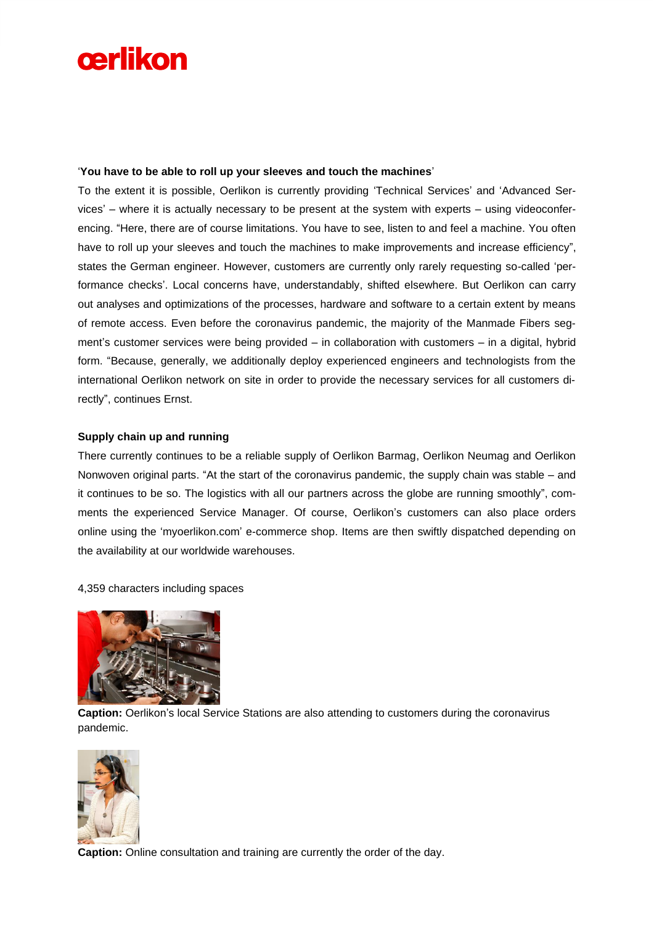# cerlikon

#### '**You have to be able to roll up your sleeves and touch the machines**'

To the extent it is possible, Oerlikon is currently providing 'Technical Services' and 'Advanced Services' – where it is actually necessary to be present at the system with experts – using videoconferencing. "Here, there are of course limitations. You have to see, listen to and feel a machine. You often have to roll up your sleeves and touch the machines to make improvements and increase efficiency", states the German engineer. However, customers are currently only rarely requesting so-called 'performance checks'. Local concerns have, understandably, shifted elsewhere. But Oerlikon can carry out analyses and optimizations of the processes, hardware and software to a certain extent by means of remote access. Even before the coronavirus pandemic, the majority of the Manmade Fibers segment's customer services were being provided – in collaboration with customers – in a digital, hybrid form. "Because, generally, we additionally deploy experienced engineers and technologists from the international Oerlikon network on site in order to provide the necessary services for all customers directly", continues Ernst.

#### **Supply chain up and running**

There currently continues to be a reliable supply of Oerlikon Barmag, Oerlikon Neumag and Oerlikon Nonwoven original parts. "At the start of the coronavirus pandemic, the supply chain was stable – and it continues to be so. The logistics with all our partners across the globe are running smoothly", comments the experienced Service Manager. Of course, Oerlikon's customers can also place orders online using the 'myoerlikon.com' e-commerce shop. Items are then swiftly dispatched depending on the availability at our worldwide warehouses.

#### 4,359 characters including spaces



**Caption:** Oerlikon's local Service Stations are also attending to customers during the coronavirus pandemic.



**Caption:** Online consultation and training are currently the order of the day.